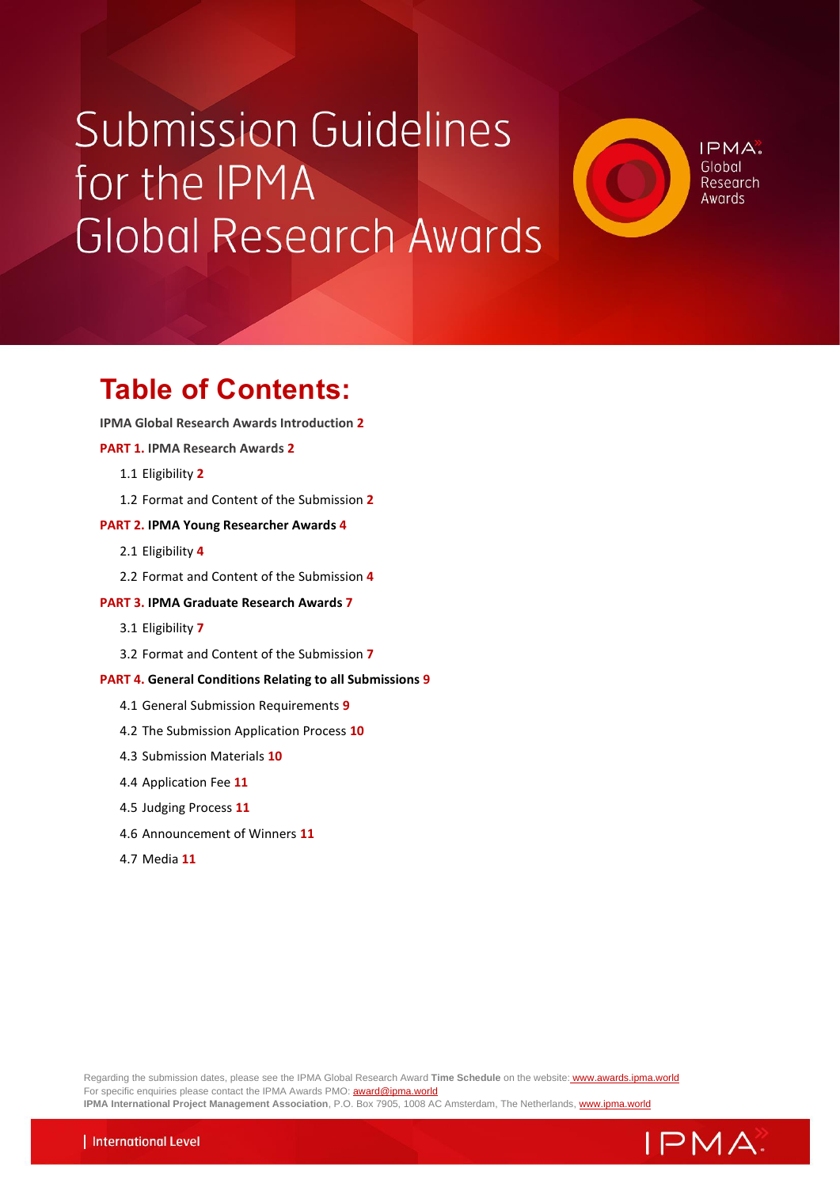# **Submission Guidelines** for the IPMA Global Research Awards

IPMA<sup>®</sup> Global Research Awards

## **Table of Contents:**

**IPMA Global Research Awards Introduction 2**

**PART 1. IPMA Research Awards 2**

- 1.1 Eligibility **2**
- 1.2 Format and Content of the Submission **2**

#### **PART 2. IPMA Young Researcher Awards 4**

- 2.1 Eligibility **4**
- 2.2 Format and Content of the Submission **4**

#### **PART 3. IPMA Graduate Research Awards 7**

- 3.1 Eligibility **7**
- 3.2 Format and Content of the Submission **7**

#### **PART 4. General Conditions Relating to all Submissions 9**

- 4.1 General Submission Requirements **9**
- 4.2 The Submission Application Process **10**
- 4.3 Submission Materials **10**
- 4.4 Application Fee **11**
- 4.5 Judging Process **11**
- 4.6 Announcement of Winners **11**
- 4.7 Media **11**

Regarding the submission dates, please see the IPMA Global Research Award **Time Schedule** on the website: [www.awards.ipma.world](http://www.awards.ipma.world/) For specific enquiries please contact the IPMA Awards PMO: **award@ipma.world IPMA International Project Management Association**, P.O. Box 7905, 1008 AC Amsterdam, The Netherlands, [www.ipma.world](mailto:http://www.ipma.world)

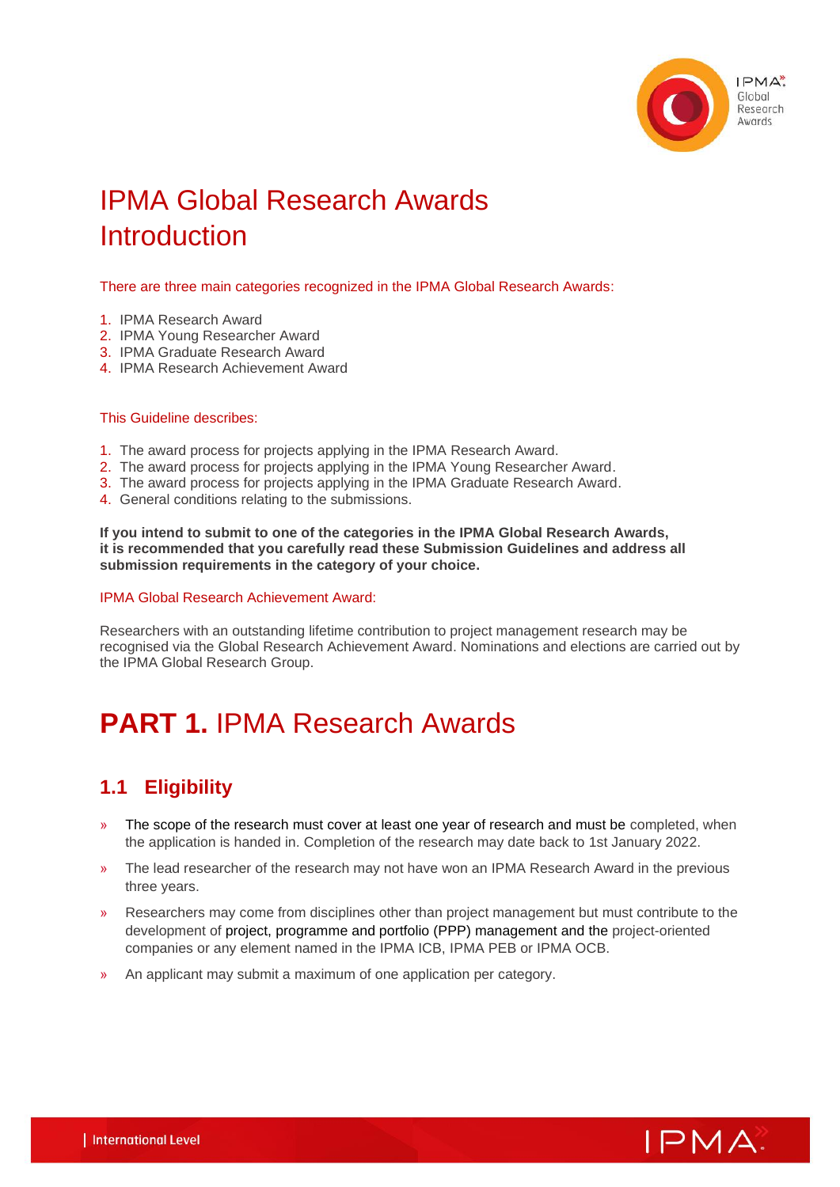

## IPMA Global Research Awards **Introduction**

#### There are three main categories recognized in the IPMA Global Research Awards:

- 1. IPMA Research Award
- 2. IPMA Young Researcher Award
- 3. IPMA Graduate Research Award
- 4. IPMA Research Achievement Award

#### This Guideline describes:

- 1. The award process for projects applying in the IPMA Research Award.
- 2. The award process for projects applying in the IPMA Young Researcher Award.
- 3. The award process for projects applying in the IPMA Graduate Research Award.
- 4. General conditions relating to the submissions.

**If you intend to submit to one of the categories in the IPMA Global Research Awards, it is recommended that you carefully read these Submission Guidelines and address all submission requirements in the category of your choice.**

#### IPMA Global Research Achievement Award:

Researchers with an outstanding lifetime contribution to project management research may be recognised via the Global Research Achievement Award. Nominations and elections are carried out by the IPMA Global Research Group.

## **PART 1.** IPMA Research Awards

## **1.1 Eligibility**

- » The scope of the research must cover at least one year of research and must be completed, when the application is handed in. Completion of the research may date back to 1st January 2022.
- » The lead researcher of the research may not have won an IPMA Research Award in the previous three years.
- » Researchers may come from disciplines other than project management but must contribute to the development of project, programme and portfolio (PPP) management and the project-oriented companies or any element named in the IPMA ICB, IPMA PEB or IPMA OCB.
- » An applicant may submit a maximum of one application per category.

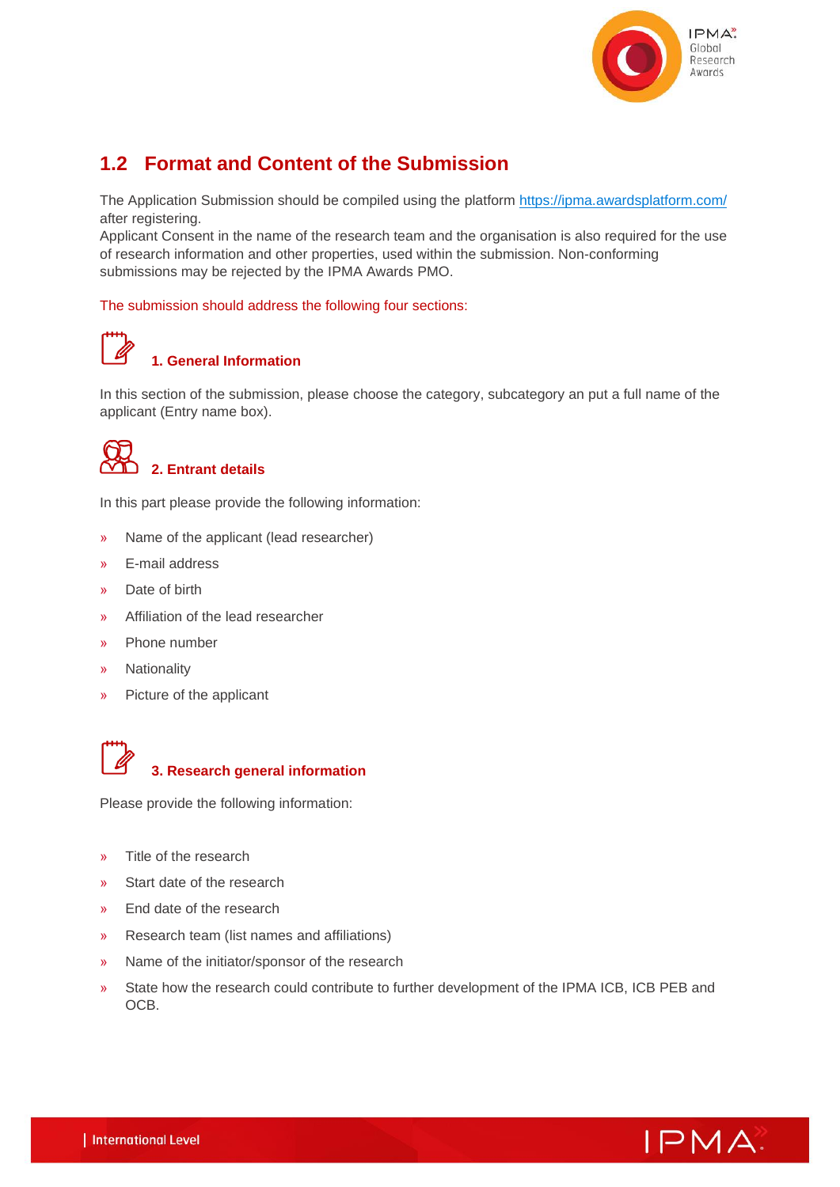

## **1.2 Format and Content of the Submission**

The Application Submission should be compiled using the platform<https://ipma.awardsplatform.com/> after registering.

Applicant Consent in the name of the research team and the organisation is also required for the use of research information and other properties, used within the submission. Non-conforming submissions may be rejected by the IPMA Awards PMO.

#### The submission should address the following four sections:



## **1. General Information**

In this section of the submission, please choose the category, subcategory an put a full name of the applicant (Entry name box).



In this part please provide the following information:

- » Name of the applicant (lead researcher)
- » E-mail address
- » Date of birth
- » Affiliation of the lead researcher
- » Phone number
- » Nationality
- » Picture of the applicant



#### **3. Research general information**

Please provide the following information:

- » Title of the research
- » Start date of the research
- » End date of the research
- » Research team (list names and affiliations)
- » Name of the initiator/sponsor of the research
- » State how the research could contribute to further development of the IPMA ICB, ICB PEB and OCB.

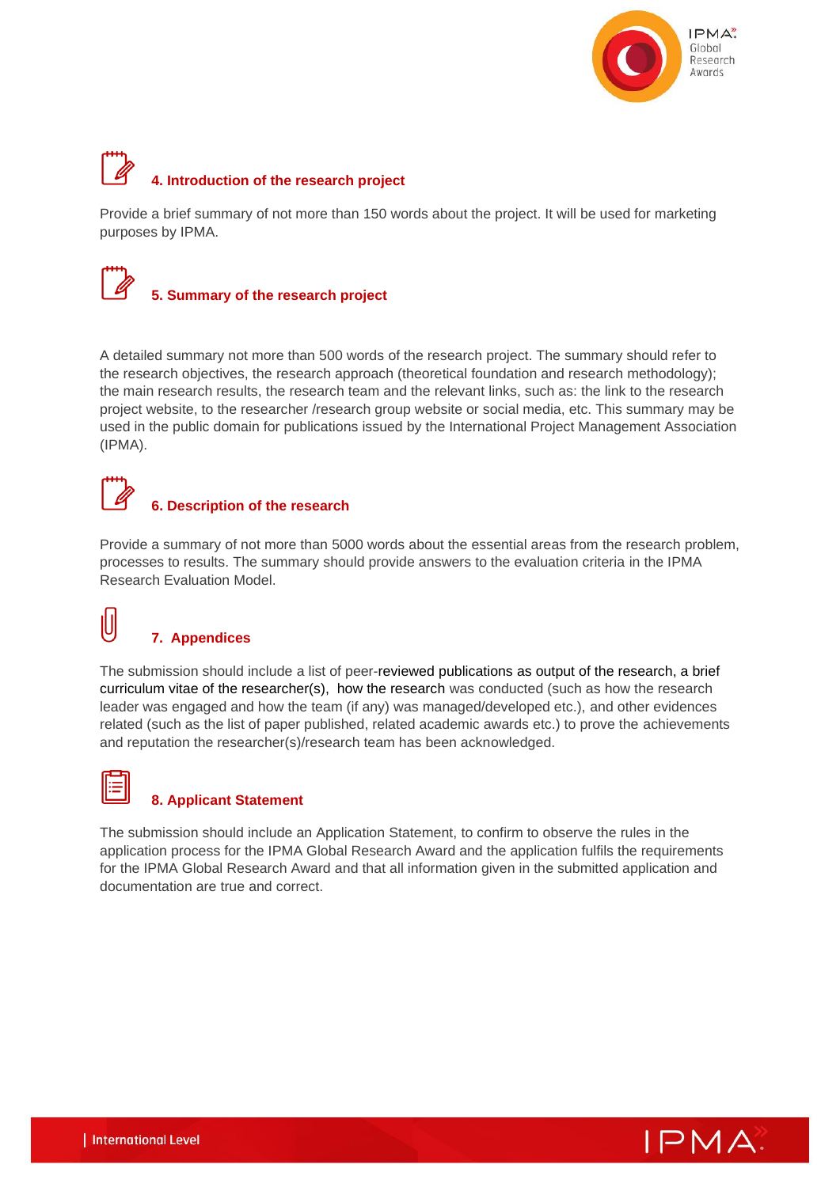

# **4. Introduction of the research project**

Provide a brief summary of not more than 150 words about the project. It will be used for marketing purposes by IPMA.



A detailed summary not more than 500 words of the research project. The summary should refer to the research objectives, the research approach (theoretical foundation and research methodology); the main research results, the research team and the relevant links, such as: the link to the research project website, to the researcher /research group website or social media, etc. This summary may be used in the public domain for publications issued by the International Project Management Association (IPMA).

## **6. Description of the research**

Provide a summary of not more than 5000 words about the essential areas from the research problem, processes to results. The summary should provide answers to the evaluation criteria in the IPMA Research Evaluation Model.

## **7. Appendices**

The submission should include a list of peer-reviewed publications as output of the research, a brief curriculum vitae of the researcher(s), how the research was conducted (such as how the research leader was engaged and how the team (if any) was managed/developed etc.), and other evidences related (such as the list of paper published, related academic awards etc.) to prove the achievements and reputation the researcher(s)/research team has been acknowledged.



IÙ

### **8. Applicant Statement**

The submission should include an Application Statement, to confirm to observe the rules in the application process for the IPMA Global Research Award and the application fulfils the requirements for the IPMA Global Research Award and that all information given in the submitted application and documentation are true and correct.

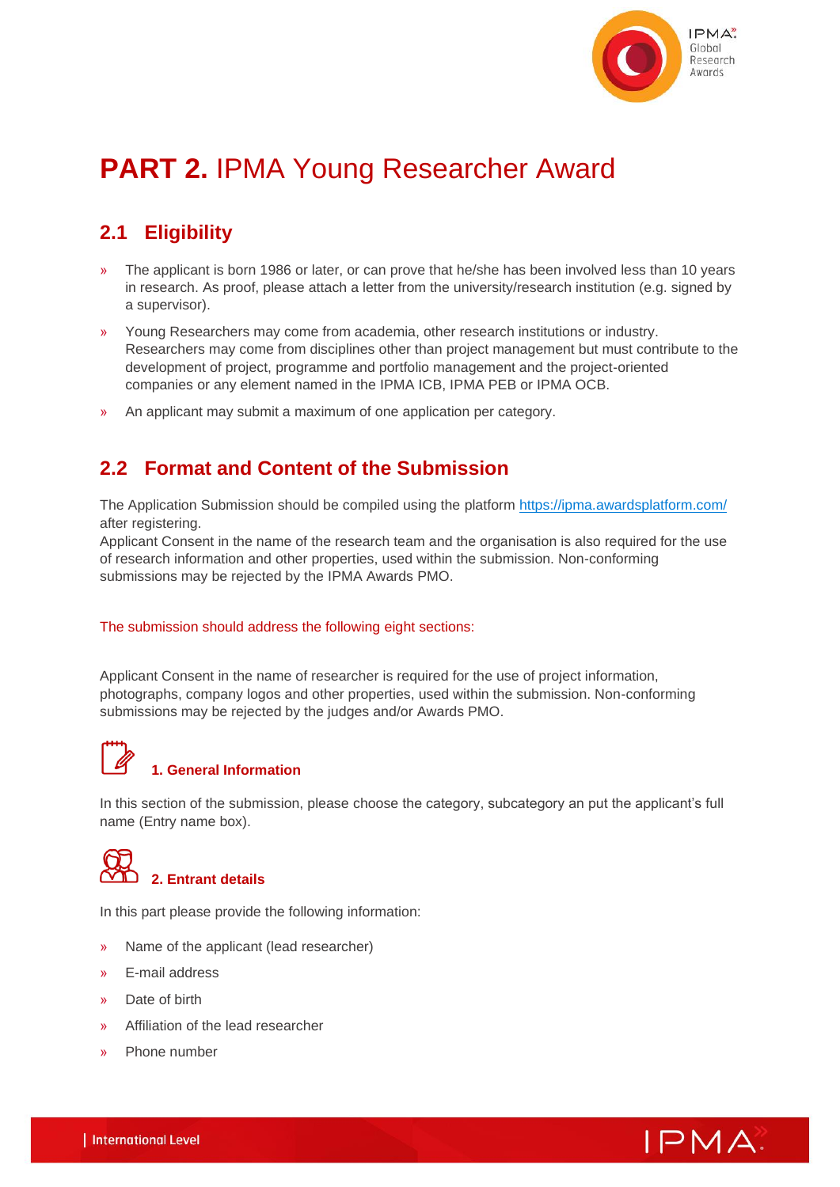

## **PART 2.** IPMA Young Researcher Award

## **2.1 Eligibility**

- » The applicant is born 1986 or later, or can prove that he/she has been involved less than 10 years in research. As proof, please attach a letter from the university/research institution (e.g. signed by a supervisor).
- » Young Researchers may come from academia, other research institutions or industry. Researchers may come from disciplines other than project management but must contribute to the development of project, programme and portfolio management and the project-oriented companies or any element named in the IPMA ICB, IPMA PEB or IPMA OCB.
- » An applicant may submit a maximum of one application per category.

## **2.2 Format and Content of the Submission**

The Application Submission should be compiled using the platform<https://ipma.awardsplatform.com/> after registering.

Applicant Consent in the name of the research team and the organisation is also required for the use of research information and other properties, used within the submission. Non-conforming submissions may be rejected by the IPMA Awards PMO.

#### The submission should address the following eight sections:

Applicant Consent in the name of researcher is required for the use of project information, photographs, company logos and other properties, used within the submission. Non-conforming submissions may be rejected by the judges and/or Awards PMO.



#### **1. General Information**

In this section of the submission, please choose the category, subcategory an put the applicant's full name (Entry name box).



In this part please provide the following information:

- » Name of the applicant (lead researcher)
- » E-mail address
- » Date of birth
- » Affiliation of the lead researcher
- » Phone number

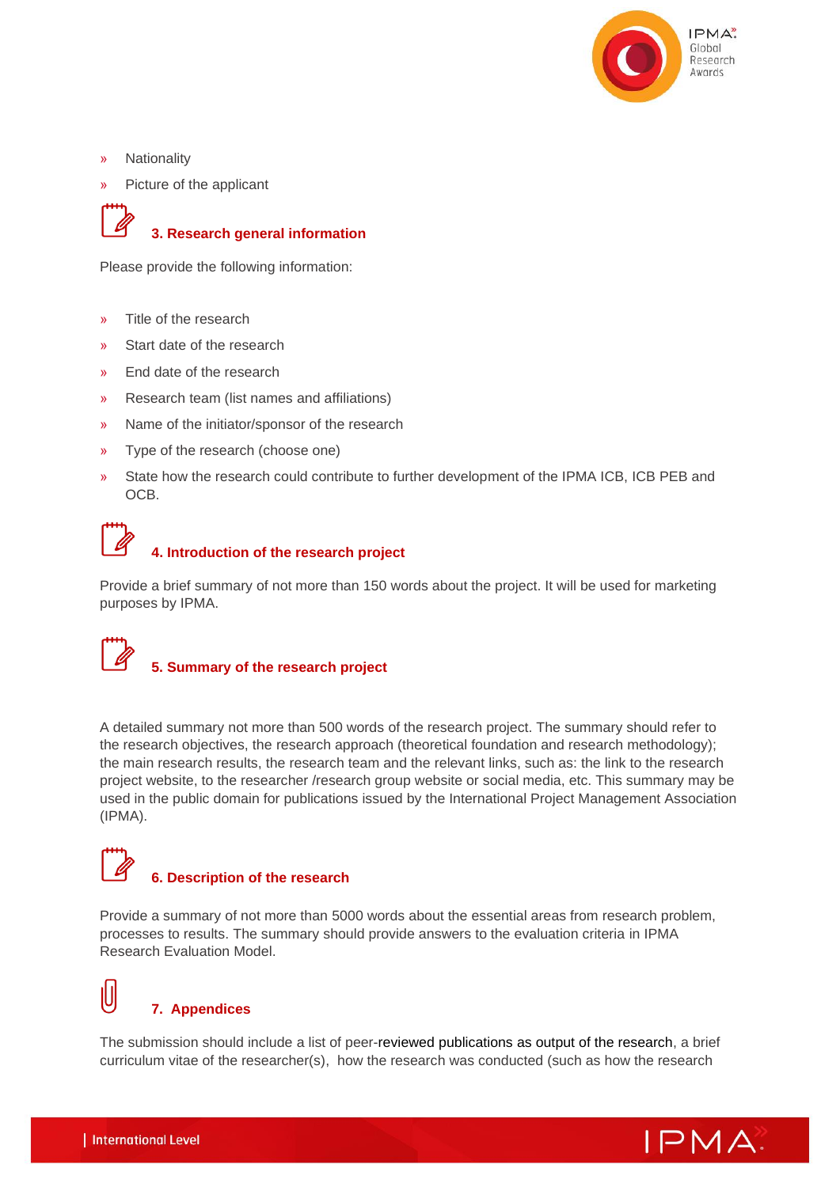

- » Nationality
- » Picture of the applicant



#### **3. Research general information**

Please provide the following information:

- » Title of the research
- » Start date of the research
- » End date of the research
- » Research team (list names and affiliations)
- » Name of the initiator/sponsor of the research
- » Type of the research (choose one)
- » State how the research could contribute to further development of the IPMA ICB, ICB PEB and OCB.

#### **4. Introduction of the research project**

Provide a brief summary of not more than 150 words about the project. It will be used for marketing purposes by IPMA.

#### **5. Summary of the research project**

A detailed summary not more than 500 words of the research project. The summary should refer to the research objectives, the research approach (theoretical foundation and research methodology); the main research results, the research team and the relevant links, such as: the link to the research project website, to the researcher /research group website or social media, etc. This summary may be used in the public domain for publications issued by the International Project Management Association (IPMA).

## **6. Description of the research**

Provide a summary of not more than 5000 words about the essential areas from research problem, processes to results. The summary should provide answers to the evaluation criteria in IPMA Research Evaluation Model.

# IÙ

### **7. Appendices**

The submission should include a list of peer-reviewed publications as output of the research, a brief curriculum vitae of the researcher(s), how the research was conducted (such as how the research

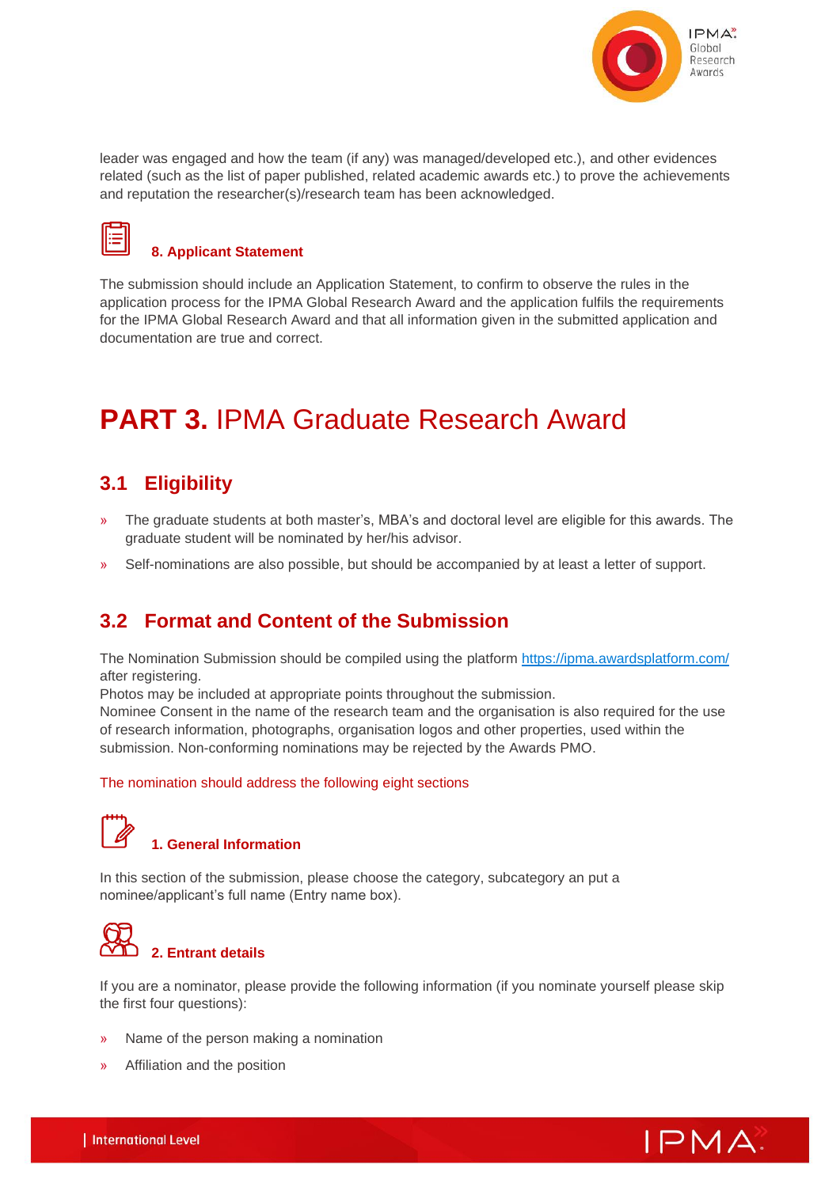

leader was engaged and how the team (if any) was managed/developed etc.), and other evidences related (such as the list of paper published, related academic awards etc.) to prove the achievements and reputation the researcher(s)/research team has been acknowledged.



#### **8. Applicant Statement**

The submission should include an Application Statement, to confirm to observe the rules in the application process for the IPMA Global Research Award and the application fulfils the requirements for the IPMA Global Research Award and that all information given in the submitted application and documentation are true and correct.

## **PART 3.** IPMA Graduate Research Award

## **3.1 Eligibility**

- » The graduate students at both master's, MBA's and doctoral level are eligible for this awards. The graduate student will be nominated by her/his advisor.
- » Self-nominations are also possible, but should be accompanied by at least a letter of support.

## **3.2 Format and Content of the Submission**

The Nomination Submission should be compiled using the platform<https://ipma.awardsplatform.com/> after registering.

Photos may be included at appropriate points throughout the submission.

Nominee Consent in the name of the research team and the organisation is also required for the use of research information, photographs, organisation logos and other properties, used within the submission. Non-conforming nominations may be rejected by the Awards PMO.

#### The nomination should address the following eight sections



#### **1. General Information**

In this section of the submission, please choose the category, subcategory an put a nominee/applicant's full name (Entry name box).



If you are a nominator, please provide the following information (if you nominate yourself please skip the first four questions):

- » Name of the person making a nomination
- » Affiliation and the position

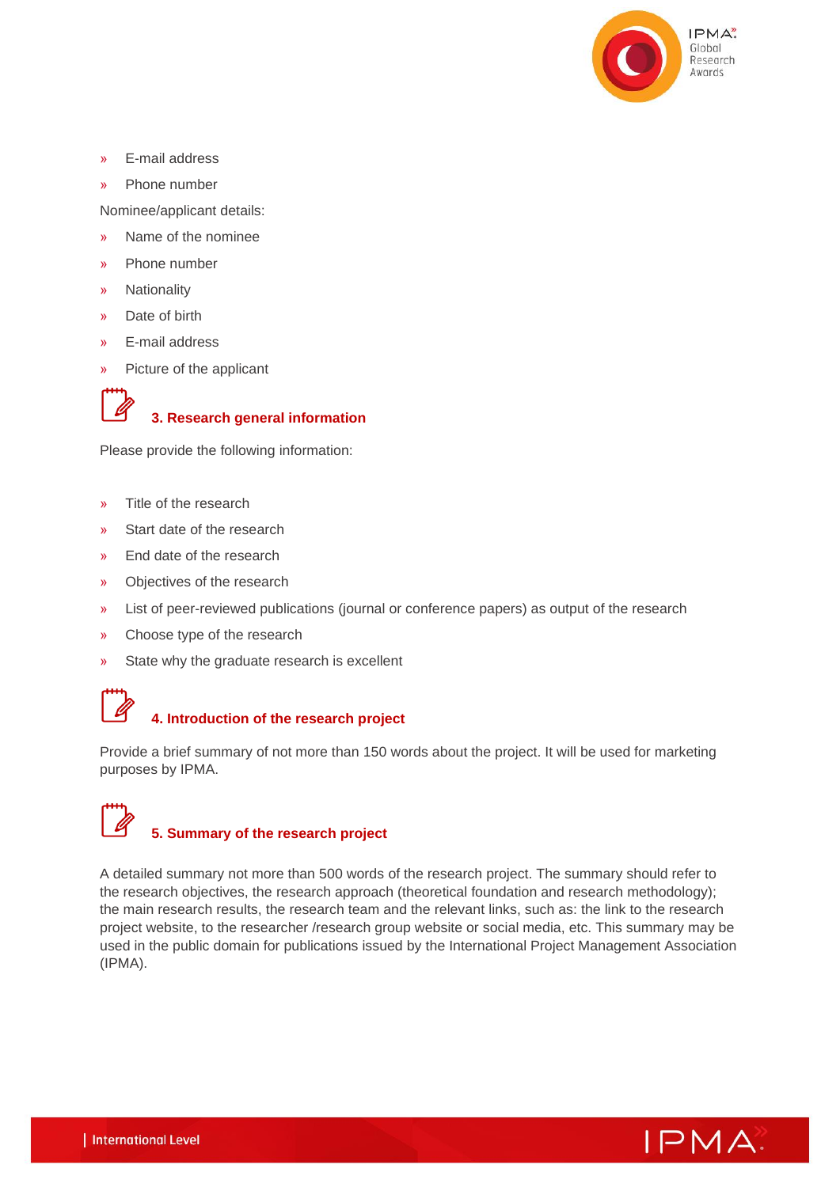

- » E-mail address
- » Phone number

Nominee/applicant details:

- » Name of the nominee
- » Phone number
- » Nationality
- » Date of birth
- » E-mail address
- » Picture of the applicant



## **3. Research general information**

Please provide the following information:

- » Title of the research
- » Start date of the research
- » End date of the research
- » Objectives of the research
- » List of peer-reviewed publications (journal or conference papers) as output of the research
- » Choose type of the research
- » State why the graduate research is excellent

## **4. Introduction of the research project**

Provide a brief summary of not more than 150 words about the project. It will be used for marketing purposes by IPMA.

# **5. Summary of the research project**

A detailed summary not more than 500 words of the research project. The summary should refer to the research objectives, the research approach (theoretical foundation and research methodology); the main research results, the research team and the relevant links, such as: the link to the research project website, to the researcher /research group website or social media, etc. This summary may be used in the public domain for publications issued by the International Project Management Association (IPMA).

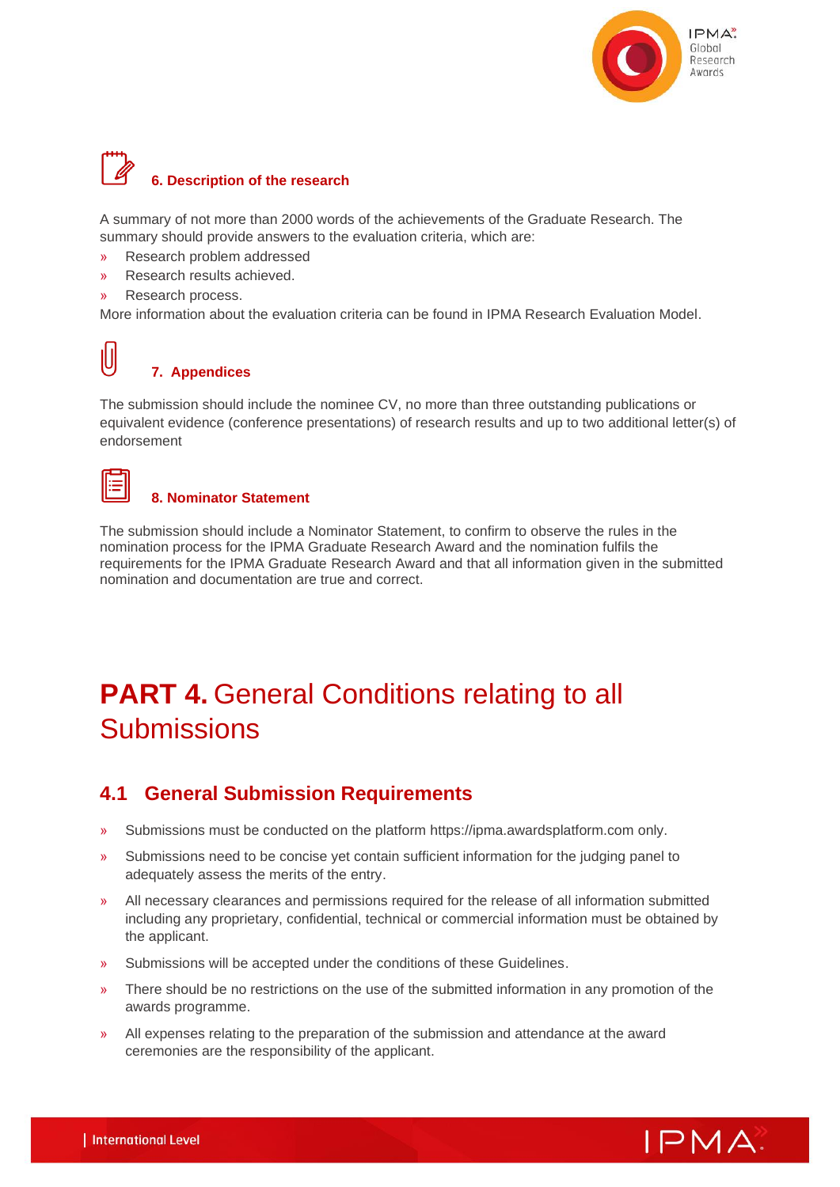

## **6. Description of the research**

A summary of not more than 2000 words of the achievements of the Graduate Research. The summary should provide answers to the evaluation criteria, which are:

- » Research problem addressed
- » Research results achieved.
- » Research process.

More information about the evaluation criteria can be found in IPMA Research Evaluation Model.

## **7. Appendices**

The submission should include the nominee CV, no more than three outstanding publications or equivalent evidence (conference presentations) of research results and up to two additional letter(s) of endorsement



IJ

#### **8. Nominator Statement**

The submission should include a Nominator Statement, to confirm to observe the rules in the nomination process for the IPMA Graduate Research Award and the nomination fulfils the requirements for the IPMA Graduate Research Award and that all information given in the submitted nomination and documentation are true and correct.

## **PART 4. General Conditions relating to all Submissions**

## **4.1 General Submission Requirements**

- » Submissions must be conducted on the platform [https://ipma.awardsplatform.com](https://ipma.awardsplatform.com/) only.
- » Submissions need to be concise yet contain sufficient information for the judging panel to adequately assess the merits of the entry.
- » All necessary clearances and permissions required for the release of all information submitted including any proprietary, confidential, technical or commercial information must be obtained by the applicant.
- » Submissions will be accepted under the conditions of these Guidelines.
- » There should be no restrictions on the use of the submitted information in any promotion of the awards programme.
- » All expenses relating to the preparation of the submission and attendance at the award ceremonies are the responsibility of the applicant.

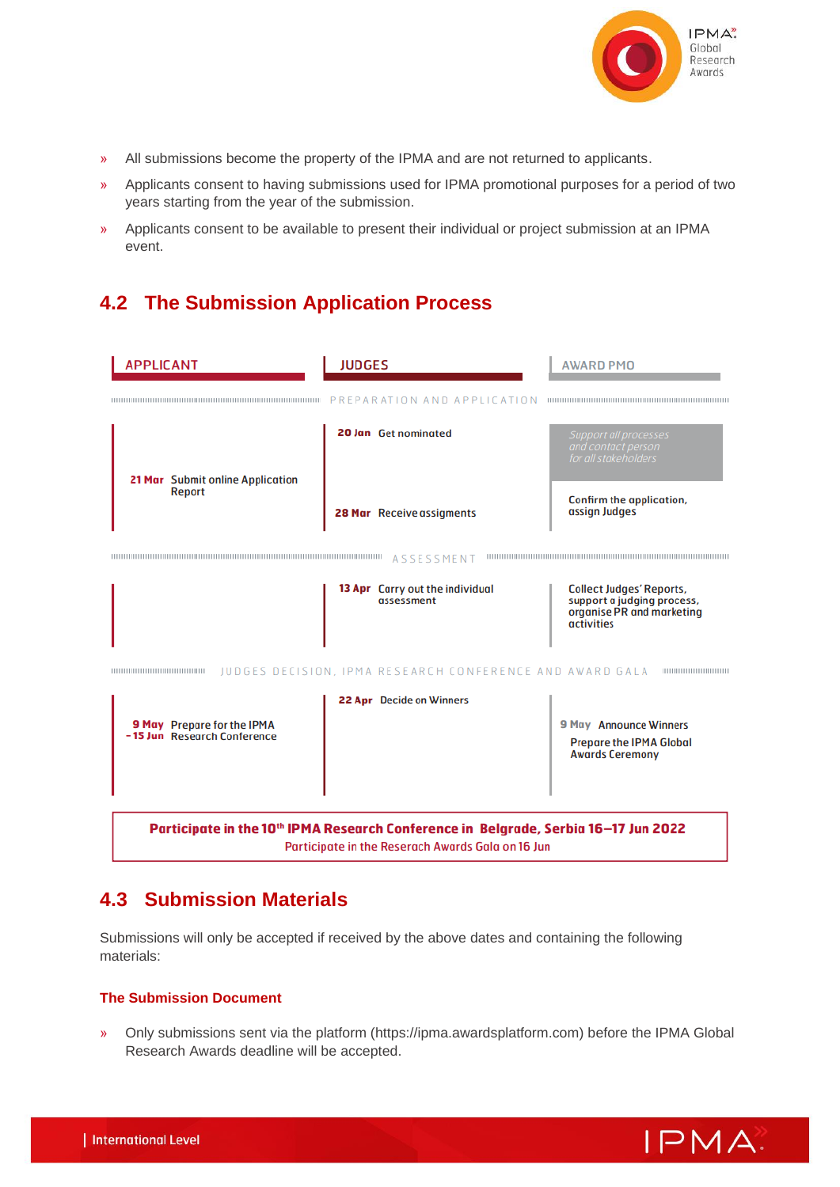

- » All submissions become the property of the IPMA and are not returned to applicants.
- » Applicants consent to having submissions used for IPMA promotional purposes for a period of two years starting from the year of the submission.
- » Applicants consent to be available to present their individual or project submission at an IPMA event.

## **4.2 The Submission Application Process**



## **4.3 Submission Materials**

Submissions will only be accepted if received by the above dates and containing the following materials:

#### **The Submission Document**

» Only submissions sent via the platform (https://ipma.awardsplatform.com) before the IPMA Global Research Awards deadline will be accepted.